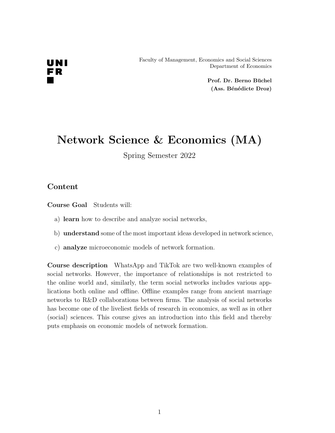Faculty of Management, Economics and Social Sciences Department of Economics

> Prof. Dr. Berno Büchel (Ass. Bénédicte Droz)

# Network Science & Economics (MA)

Spring Semester 2022

#### Content

Course Goal Students will:

- a) learn how to describe and analyze social networks,
- b) understand some of the most important ideas developed in network science,
- c) analyze microeconomic models of network formation.

Course description WhatsApp and TikTok are two well-known examples of social networks. However, the importance of relationships is not restricted to the online world and, similarly, the term social networks includes various applications both online and offline. Offline examples range from ancient marriage networks to R&D collaborations between firms. The analysis of social networks has become one of the liveliest fields of research in economics, as well as in other (social) sciences. This course gives an introduction into this field and thereby puts emphasis on economic models of network formation.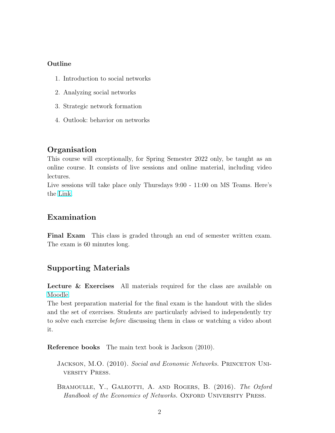#### Outline

- 1. Introduction to social networks
- 2. Analyzing social networks
- 3. Strategic network formation
- 4. Outlook: behavior on networks

### Organisation

This course will exceptionally, for Spring Semester 2022 only, be taught as an online course. It consists of live sessions and online material, including video lectures.

Live sessions will take place only Thursdays 9:00 - 11:00 on MS Teams. Here's the [Link.](https://teams.microsoft.com/l/team/19%3a3ox-2owlkYAoKjIYus7Ucj0rOKHGy0B1yLrWghl17Ms1%40thread.tacv2/conversations?groupId=935a1ba2-aacf-4c5d-ba79-829e8184652e&tenantId=88c9873b-3065-42a0-9f3c-ac864c0ac788)

#### Examination

Final Exam This class is graded through an end of semester written exam. The exam is 60 minutes long.

## Supporting Materials

Lecture & Exercises All materials required for the class are available on [Moodle.](https://moodle.unifr.ch/course/view.php?id=257160)

The best preparation material for the final exam is the handout with the slides and the set of exercises. Students are particularly advised to independently try to solve each exercise before discussing them in class or watching a video about it.

Reference books The main text book is Jackson (2010).

JACKSON, M.O. (2010). Social and Economic Networks. PRINCETON UNIversity Press.

BRAMOULLE, Y., GALEOTTI, A. AND ROGERS, B. (2016). The Oxford Handbook of the Economics of Networks. OXFORD UNIVERSITY PRESS.